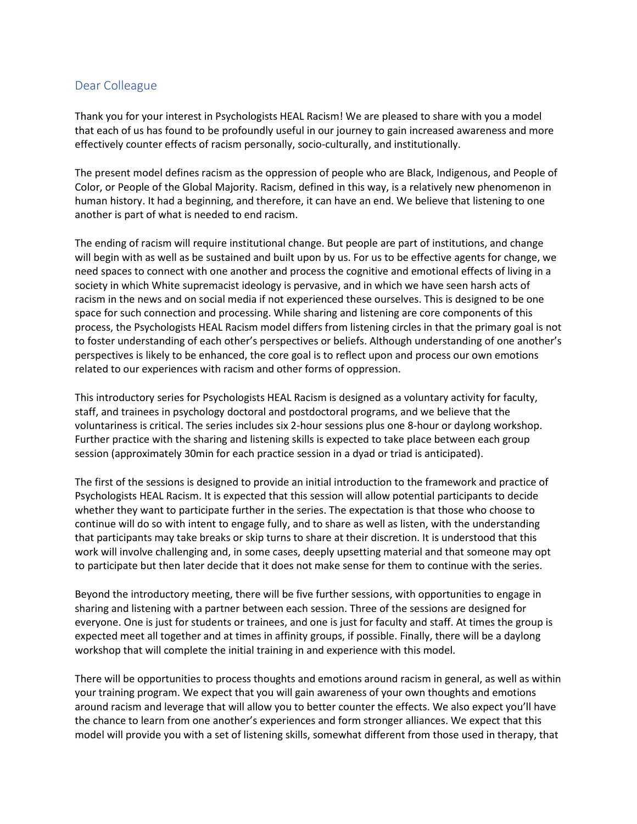## Dear Colleague

Thank you for your interest in Psychologists HEAL Racism! We are pleased to share with you a model that each of us has found to be profoundly useful in our journey to gain increased awareness and more effectively counter effects of racism personally, socio-culturally, and institutionally.

The present model defines racism as the oppression of people who are Black, Indigenous, and People of Color, or People of the Global Majority. Racism, defined in this way, is a relatively new phenomenon in human history. It had a beginning, and therefore, it can have an end. We believe that listening to one another is part of what is needed to end racism.

The ending of racism will require institutional change. But people are part of institutions, and change will begin with as well as be sustained and built upon by us. For us to be effective agents for change, we need spaces to connect with one another and process the cognitive and emotional effects of living in a society in which White supremacist ideology is pervasive, and in which we have seen harsh acts of racism in the news and on social media if not experienced these ourselves. This is designed to be one space for such connection and processing. While sharing and listening are core components of this process, the Psychologists HEAL Racism model differs from listening circles in that the primary goal is not to foster understanding of each other's perspectives or beliefs. Although understanding of one another's perspectives is likely to be enhanced, the core goal is to reflect upon and process our own emotions related to our experiences with racism and other forms of oppression.

This introductory series for Psychologists HEAL Racism is designed as a voluntary activity for faculty, staff, and trainees in psychology doctoral and postdoctoral programs, and we believe that the voluntariness is critical. The series includes six 2-hour sessions plus one 8-hour or daylong workshop. Further practice with the sharing and listening skills is expected to take place between each group session (approximately 30min for each practice session in a dyad or triad is anticipated).

The first of the sessions is designed to provide an initial introduction to the framework and practice of Psychologists HEAL Racism. It is expected that this session will allow potential participants to decide whether they want to participate further in the series. The expectation is that those who choose to continue will do so with intent to engage fully, and to share as well as listen, with the understanding that participants may take breaks or skip turns to share at their discretion. It is understood that this work will involve challenging and, in some cases, deeply upsetting material and that someone may opt to participate but then later decide that it does not make sense for them to continue with the series.

Beyond the introductory meeting, there will be five further sessions, with opportunities to engage in sharing and listening with a partner between each session. Three of the sessions are designed for everyone. One is just for students or trainees, and one is just for faculty and staff. At times the group is expected meet all together and at times in affinity groups, if possible. Finally, there will be a daylong workshop that will complete the initial training in and experience with this model.

There will be opportunities to process thoughts and emotions around racism in general, as well as within your training program. We expect that you will gain awareness of your own thoughts and emotions around racism and leverage that will allow you to better counter the effects. We also expect you'll have the chance to learn from one another's experiences and form stronger alliances. We expect that this model will provide you with a set of listening skills, somewhat different from those used in therapy, that